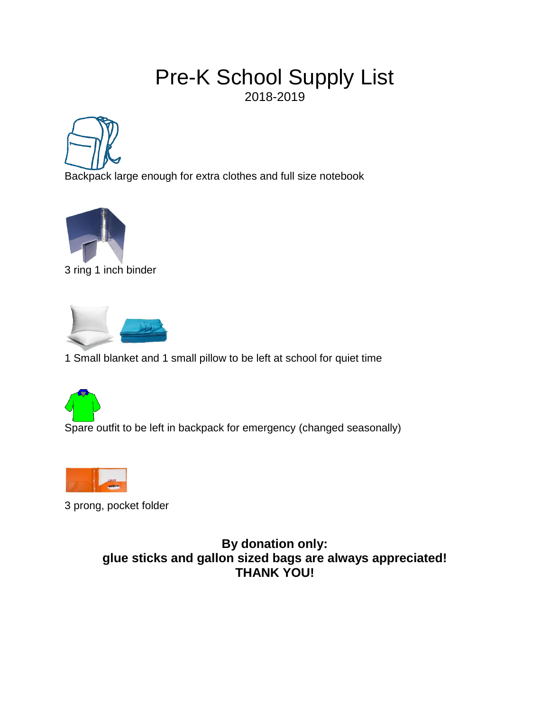### Pre-K School Supply List 2018-2019



Backpack large enough for extra clothes and full size notebook



3 ring 1 inch binder



1 Small blanket and 1 small pillow to be left at school for quiet time



Spare outfit to be left in backpack for emergency (changed seasonally)



3 prong, pocket folder

**By donation only: glue sticks and gallon sized bags are always appreciated! THANK YOU!**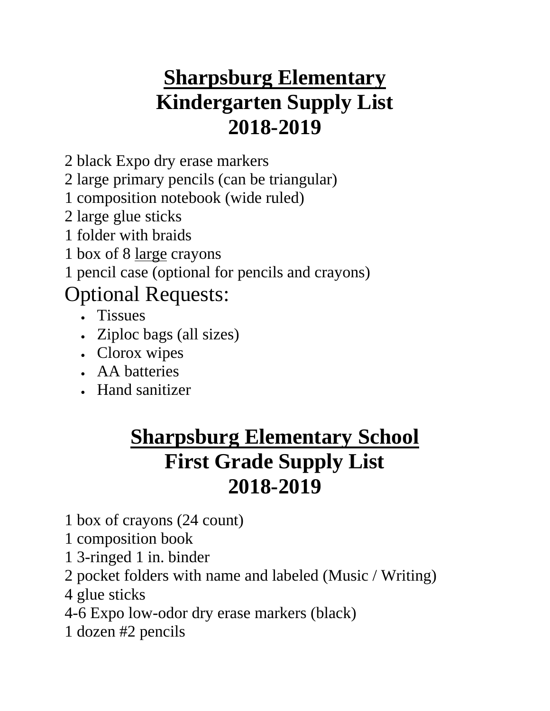# **Sharpsburg Elementary Kindergarten Supply List 2018-2019**

2 black Expo dry erase markers

2 large primary pencils (can be triangular)

1 composition notebook (wide ruled)

2 large glue sticks

1 folder with braids

1 box of 8 large crayons

1 pencil case (optional for pencils and crayons)

### Optional Requests:

- Tissues
- Ziploc bags (all sizes)
- Clorox wipes
- AA batteries
- Hand sanitizer

## **Sharpsburg Elementary School First Grade Supply List 2018-2019**

- 1 box of crayons (24 count)
- 1 composition book
- 1 3-ringed 1 in. binder
- 2 pocket folders with name and labeled (Music / Writing)
- 4 glue sticks
- 4-6 Expo low-odor dry erase markers (black)
- 1 dozen #2 pencils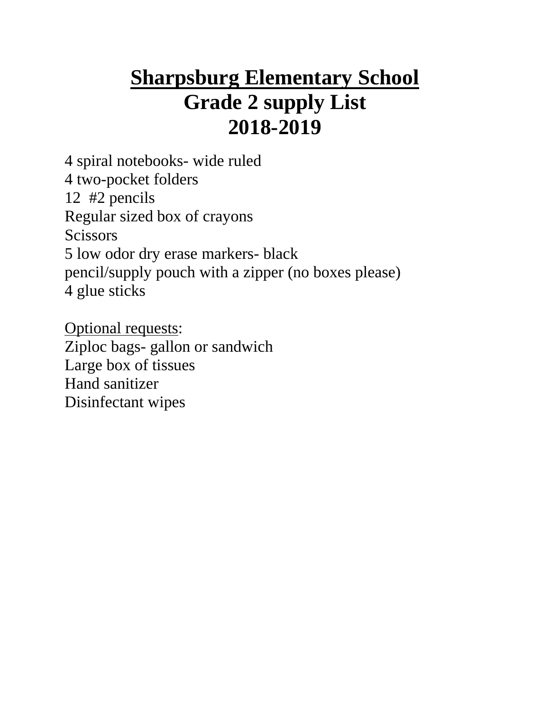## **Sharpsburg Elementary School Grade 2 supply List 2018-2019**

4 spiral notebooks- wide ruled 4 two-pocket folders 12 #2 pencils Regular sized box of crayons **Scissors** 5 low odor dry erase markers- black pencil/supply pouch with a zipper (no boxes please) 4 glue sticks

Optional requests: Ziploc bags- gallon or sandwich Large box of tissues Hand sanitizer Disinfectant wipes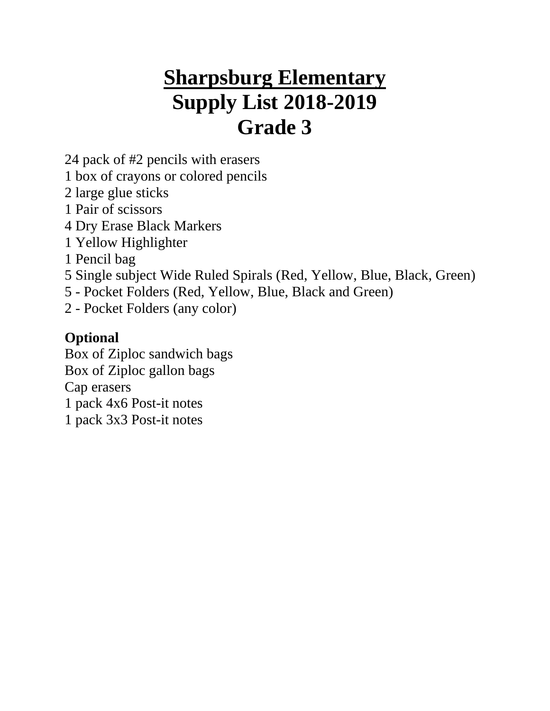## **Sharpsburg Elementary Supply List 2018-2019 Grade 3**

24 pack of #2 pencils with erasers

- 1 box of crayons or colored pencils
- 2 large glue sticks
- 1 Pair of scissors
- 4 Dry Erase Black Markers
- 1 Yellow Highlighter
- 1 Pencil bag
- 5 Single subject Wide Ruled Spirals (Red, Yellow, Blue, Black, Green)
- 5 Pocket Folders (Red, Yellow, Blue, Black and Green)
- 2 Pocket Folders (any color)

#### **Optional**

Box of Ziploc sandwich bags Box of Ziploc gallon bags Cap erasers 1 pack 4x6 Post-it notes 1 pack 3x3 Post-it notes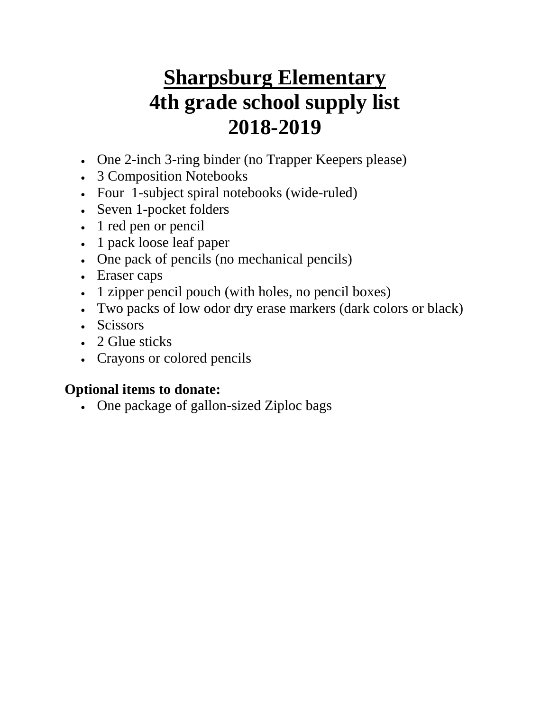# **Sharpsburg Elementary 4th grade school supply list 2018-2019**

- One 2-inch 3-ring binder (no Trapper Keepers please)
- 3 Composition Notebooks
- Four 1-subject spiral notebooks (wide-ruled)
- Seven 1-pocket folders
- 1 red pen or pencil
- 1 pack loose leaf paper
- One pack of pencils (no mechanical pencils)
- Eraser caps
- 1 zipper pencil pouch (with holes, no pencil boxes)
- Two packs of low odor dry erase markers (dark colors or black)
- Scissors
- 2 Glue sticks
- Crayons or colored pencils

#### **Optional items to donate:**

One package of gallon-sized Ziploc bags